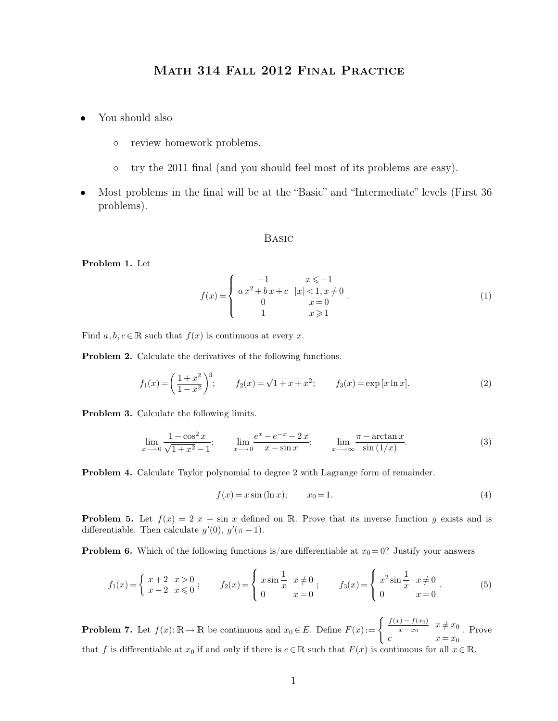# Math 314 Fall 2012 Final Practice

- You should also
	- review homework problems.
	- try the 2011 final (and you should feel most of its problems are easy).
- Most problems in the final will be at the "Basic" and "Intermediate" levels (First 36 problems).

## Basic

**Problem 1.** Let

$$
f(x) = \begin{cases} -1 & x \le -1 \\ a x^2 + b x + c & |x| < 1, x \ne 0 \\ 0 & x = 0 \\ 1 & x \ge 1 \end{cases}
$$
 (1)

Find  $a, b, c \in \mathbb{R}$  such that  $f(x)$  is continuous at every x.

**Problem 2.** Calculate the derivatives of the following functions.

$$
f_1(x) = \left(\frac{1+x^2}{1-x^2}\right)^3; \qquad f_2(x) = \sqrt{1+x+x^2}; \qquad f_3(x) = \exp\left[x\ln x\right].
$$
 (2)

**Problem 3.** Calculate the following limits.

$$
\lim_{x \to 0} \frac{1 - \cos^2 x}{\sqrt{1 + x^2} - 1}; \qquad \lim_{x \to 0} \frac{e^x - e^{-x} - 2x}{x - \sin x}; \qquad \lim_{x \to \infty} \frac{\pi - \arctan x}{\sin(1/x)}.
$$
 (3)

**Problem 4.** Calculate Taylor polynomial to degree 2 with Lagrange form of remainder.

$$
f(x) = x \sin(\ln x); \t x_0 = 1.
$$
 (4)

**Problem 5.** Let  $f(x) = 2x - \sin x$  defined on R. Prove that its inverse function g exists and is differentiable. Then calculate  $g'(0)$ ,  $g'(\pi - 1)$ .

**Problem 6.** Which of the following functions is/are differentiable at  $x_0 = 0$ ? Justify your answers

$$
f_1(x) = \begin{cases} x+2 & x > 0 \\ x-2 & x \le 0 \end{cases}; \qquad f_2(x) = \begin{cases} x\sin\frac{1}{x} & x \ne 0 \\ 0 & x = 0 \end{cases}; \qquad f_3(x) = \begin{cases} x^2\sin\frac{1}{x} & x \ne 0 \\ 0 & x = 0 \end{cases}.
$$
 (5)

**Problem 7.** Let  $f(x): \mathbb{R} \to \mathbb{R}$  be continuous and  $x_0 \in E$ . Define  $F(x) := \begin{cases} \frac{f(x) - f(x_0)}{x - x_0} & \text{if } x \in \mathbb{R} \\ 0 & \text{otherwise} \end{cases}$  $\frac{x_1 - f(x_0)}{x - x_0}$   $x \neq x_0$ c  $x = x_0$ . Prove that f is differentiable at  $x_0$  if and only if there is  $c \in \mathbb{R}$  such that  $F(x)$  is continuous for all  $x \in \mathbb{R}$ .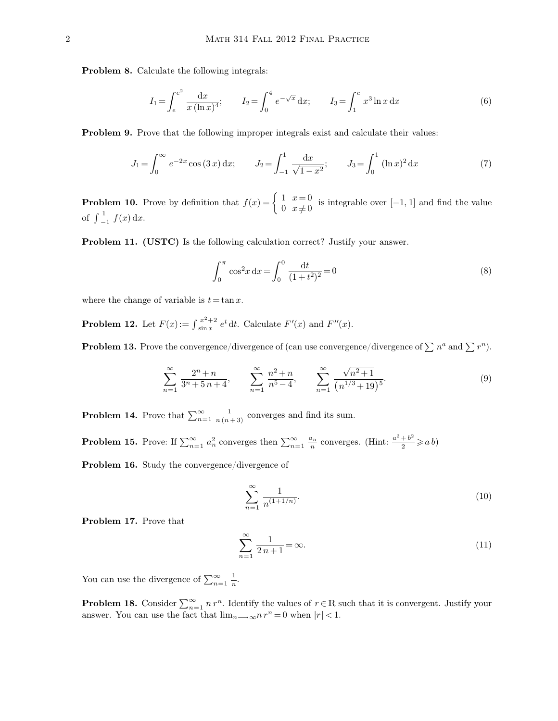**Problem 8.** Calculate the following integrals:

$$
I_1 = \int_e^{e^2} \frac{\mathrm{d}x}{x(\ln x)^4}; \qquad I_2 = \int_0^4 e^{-\sqrt{x}} \, \mathrm{d}x; \qquad I_3 = \int_1^e x^3 \ln x \, \mathrm{d}x \tag{6}
$$

**Problem 9.** Prove that the following improper integrals exist and calculate their values:

$$
J_1 = \int_0^\infty e^{-2x} \cos(3x) \, dx; \qquad J_2 = \int_{-1}^1 \frac{dx}{\sqrt{1 - x^2}}; \qquad J_3 = \int_0^1 (\ln x)^2 \, dx \tag{7}
$$

**Problem 10.** Prove by definition that  $f(x) = \begin{cases} 1 & x = 0 \\ 0 & x \neq 0 \end{cases}$  $\begin{array}{c} 1 \quad x \rightarrow 0 \\ 0 \quad x \neq 0 \end{array}$  is integrable over [-1, 1] and find the value of  $\int_{-1}^{1}$  $\int_{-1}^{1} f(x) dx$ .

**Problem 11. (USTC)** Is the following calculation correct? Justify your answer.

$$
\int_0^\pi \cos^2 x \, dx = \int_0^0 \frac{dt}{(1+t^2)^2} = 0\tag{8}
$$

where the change of variable is  $t = \tan x$ .

**Problem 12.** Let  $F(x) := \int_{\sin x}^{x+1}$  $x^{2}+2$  e<sup>t</sup> dt. Calculate  $F'(x)$  and  $F''(x)$ .

**Problem 13.** Prove the convergence/divergence of (can use convergence/divergence of  $\sum n^a$  and  $\sum r^n$ ).

$$
\sum_{n=1}^{\infty} \frac{2^n + n}{3^n + 5n + 4}, \qquad \sum_{n=1}^{\infty} \frac{n^2 + n}{n^5 - 4}, \qquad \sum_{n=1}^{\infty} \frac{\sqrt{n^2 + 1}}{(n^{1/3} + 19)^5}.
$$
 (9)

**Problem 14.** Prove that  $\sum_{n=1}^{\infty} \frac{1}{n(n+3)}$  converges and find its sum.

**Problem 15.** Prove: If  $\sum_{n=1}^{\infty} a_n^2$  converges then  $\sum_{n=1}^{\infty} \frac{a_n}{n}$  converges. (Hint:  $\frac{a^2+b^2}{2}$  $\frac{+b^2}{2} \geqslant a b$ 

**Problem 16.** Study the convergence/divergence of

$$
\sum_{n=1}^{\infty} \frac{1}{n^{(1+1/n)}}.
$$
\n(10)

**Problem 17.** Prove that

$$
\sum_{n=1}^{\infty} \frac{1}{2n+1} = \infty.
$$
\n(11)

You can use the divergence of  $\sum_{n=1}^{\infty} \frac{1}{n}$ .

**Problem 18.** Consider  $\sum_{n=1}^{\infty} n r^n$ . Identify the values of  $r \in \mathbb{R}$  such that it is convergent. Justify your answer. You can use the fact that  $\lim_{n\longrightarrow\infty} n r^n = 0$  when  $|r| < 1$ .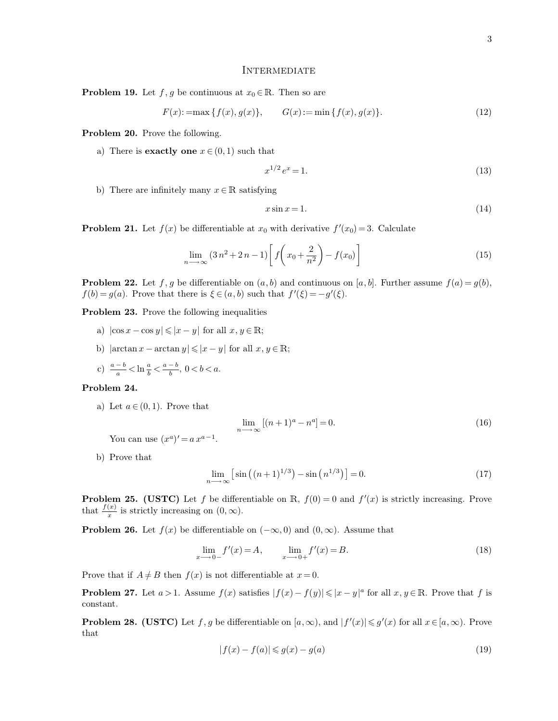#### **INTERMEDIATE**

**Problem 19.** Let  $f, g$  be continuous at  $x_0 \in \mathbb{R}$ . Then so are

$$
F(x) := \max\{f(x), g(x)\}, \qquad G(x) := \min\{f(x), g(x)\}.
$$
 (12)

**Problem 20.** Prove the following.

a) There is **exactly one**  $x \in (0, 1)$  such that

$$
x^{1/2}e^x = 1.\tag{13}
$$

b) There are infinitely many  $x \in \mathbb{R}$  satisfying

$$
x\sin x = 1.\tag{14}
$$

**Problem 21.** Let  $f(x)$  be differentiable at  $x_0$  with derivative  $f'(x_0) = 3$ . Calculate

$$
\lim_{n \to \infty} \left(3n^2 + 2n - 1\right) \left[ f\left(x_0 + \frac{2}{n^2}\right) - f(x_0) \right] \tag{15}
$$

**Problem 22.** Let f, g be differentiable on  $(a, b)$  and continuous on  $[a, b]$ . Further assume  $f(a) = g(b)$ ,  $f(b) = g(a)$ . Prove that there is  $\xi \in (a, b)$  such that  $f'(\xi) = -g'(\xi)$ .

**Problem 23.** Prove the following inequalities

- a)  $|\cos x \cos y| \leq |x y|$  for all  $x, y \in \mathbb{R}$ ;
- b)  $|\arctan x \arctan y| \leq |x y|$  for all  $x, y \in \mathbb{R}$ ;
- c)  $\frac{a-b}{a} < \ln \frac{a}{b} < \frac{a-b}{b}, 0 < b < a$ .

#### **Problem 24.**

a) Let  $a \in (0, 1)$ . Prove that

$$
\lim_{n \to \infty} [(n+1)^a - n^a] = 0. \tag{16}
$$

You can use  $(x^a)' = a x^{a-1}$ .

b) Prove that

$$
\lim_{n \to \infty} \left[ \sin \left( (n+1)^{1/3} \right) - \sin \left( n^{1/3} \right) \right] = 0. \tag{17}
$$

**Problem 25. (USTC)** Let f be differentiable on  $\mathbb{R}$ ,  $f(0) = 0$  and  $f'(x)$  is strictly increasing. Prove that  $\frac{f(x)}{x}$  is strictly increasing on  $(0, \infty)$ .

**Problem 26.** Let  $f(x)$  be differentiable on  $(-\infty, 0)$  and  $(0, \infty)$ . Assume that

$$
\lim_{x \to 0^{-}} f'(x) = A, \qquad \lim_{x \to 0^{+}} f'(x) = B.
$$
\n(18)

Prove that if  $A \neq B$  then  $f(x)$  is not differentiable at  $x = 0$ .

**Problem 27.** Let  $a > 1$ . Assume  $f(x)$  satisfies  $|f(x) - f(y)| \leq |x - y|^a$  for all  $x, y \in \mathbb{R}$ . Prove that f is constant.

**Problem 28. (USTC)** Let f, g be differentiable on  $[a, \infty)$ , and  $|f'(x)| \leq g'(x)$  for all  $x \in [a, \infty)$ . Prove that

$$
|f(x) - f(a)| \le g(x) - g(a)
$$
\n(19)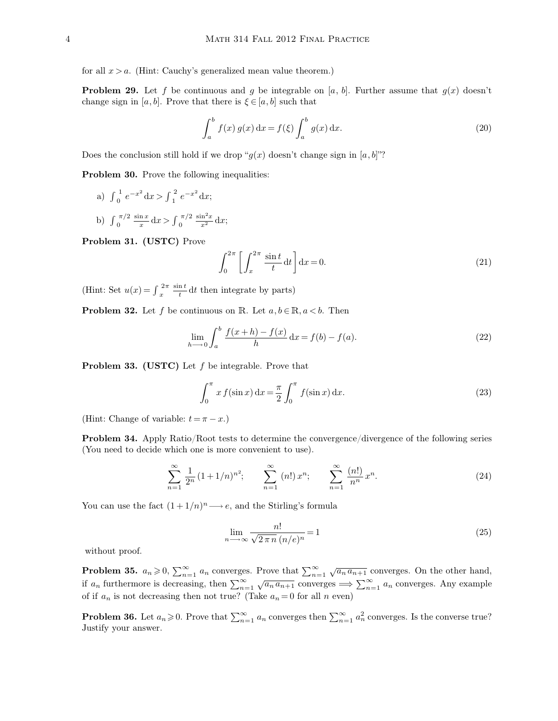for all  $x > a$ . (Hint: Cauchy's generalized mean value theorem.)

**Problem 29.** Let f be continuous and g be integrable on [a, b]. Further assume that  $g(x)$  doesn't change sign in [a, b]. Prove that there is  $\xi \in [a, b]$  such that

$$
\int_{a}^{b} f(x) g(x) dx = f(\xi) \int_{a}^{b} g(x) dx.
$$
 (20)

Does the conclusion still hold if we drop " $g(x)$  doesn't change sign in [a, b]"?

**Problem 30.** Prove the following inequalities:

- a)  $\int_0^1$  $\int_{0}^{1} e^{-x^{2}} dx > \int_{1}^{2}$  $e^{-x^2} dx;$
- b)  $\int_0^{\pi}$  $\pi/2 \sin x$  $\int_{0}^{\frac{\ln x}{x}}\mathrm{d}x$  >  $\int_{0}^{\pi}$  $\int_0^{\pi/2} \frac{\sin^2 x}{x^2} dx;$

**Problem 31. (USTC)** Prove

$$
\int_0^{2\pi} \left[ \int_x^{2\pi} \frac{\sin t}{t} dt \right] dx = 0.
$$
 (21)

(Hint: Set  $u(x) = \int_{x}^{x}$  $2\pi \sin t$  $\frac{\pi}{t} dt$  then integrate by parts)

**Problem 32.** Let f be continuous on R. Let  $a, b \in \mathbb{R}, a < b$ . Then

$$
\lim_{h \to 0} \int_{a}^{b} \frac{f(x+h) - f(x)}{h} dx = f(b) - f(a).
$$
 (22)

**Problem 33. (USTC)** Let f be integrable. Prove that

$$
\int_0^\pi x f(\sin x) dx = \frac{\pi}{2} \int_0^\pi f(\sin x) dx.
$$
 (23)

(Hint: Change of variable:  $t = \pi - x$ .)

**Problem 34.** Apply Ratio/Root tests to determine the convergence/divergence of the following series (You need to decide which one is more convenient to use).

$$
\sum_{n=1}^{\infty} \frac{1}{2^n} (1+1/n)^{n^2}; \qquad \sum_{n=1}^{\infty} (n!) x^n; \qquad \sum_{n=1}^{\infty} \frac{(n!)}{n^n} x^n.
$$
 (24)

You can use the fact  $(1 + 1/n)^n \longrightarrow e$ , and the Stirling's formula

$$
\lim_{n \to \infty} \frac{n!}{\sqrt{2 \pi n} (n/e)^n} = 1
$$
\n(25)

without proof.

**Problem 35.**  $a_n \geq 0$ ,  $\sum_{n=1}^{\infty} a_n$  converges. Prove that  $\sum_{n=1}^{\infty} \sqrt{a_n a_{n+1}}$  converges. On the other hand, if  $a_n$  furthermore is decreasing, then  $\sum_{n=1}^{\infty} \sqrt{a_n a_{n+1}}$  converges  $\implies \sum_{n=1}^{\infty} a_n$  converges. Any example of if  $a_n$  is not decreasing then not true? (Take  $a_n = 0$  for all n even)

**Problem 36.** Let  $a_n \ge 0$ . Prove that  $\sum_{n=1}^{\infty} a_n$  converges then  $\sum_{n=1}^{\infty} a_n^2$  converges. Is the converse true? Justify your answer.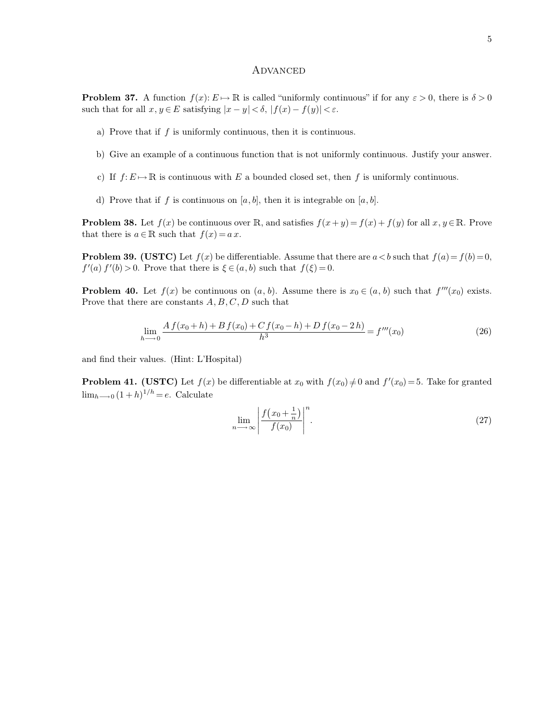#### **ADVANCED**

**Problem 37.** A function  $f(x): E \to \mathbb{R}$  is called "uniformly continuous" if for any  $\varepsilon > 0$ , there is  $\delta > 0$ such that for all  $x, y \in E$  satisfying  $|x - y| < \delta$ ,  $|f(x) - f(y)| < \varepsilon$ .

- a) Prove that if  $f$  is uniformly continuous, then it is continuous.
- b) Give an example of a continuous function that is not uniformly continuous. Justify your answer.
- c) If  $f: E \mapsto \mathbb{R}$  is continuous with E a bounded closed set, then f is uniformly continuous.
- d) Prove that if f is continuous on  $[a, b]$ , then it is integrable on  $[a, b]$ .

**Problem 38.** Let  $f(x)$  be continuous over R, and satisfies  $f(x+y) = f(x) + f(y)$  for all  $x, y \in \mathbb{R}$ . Prove that there is  $a \in \mathbb{R}$  such that  $f(x) = a x$ .

**Problem 39. (USTC)** Let  $f(x)$  be differentiable. Assume that there are  $a < b$  such that  $f(a) = f(b) = 0$ ,  $f'(a) f'(b) > 0$ . Prove that there is  $\xi \in (a, b)$  such that  $f(\xi) = 0$ .

**Problem 40.** Let  $f(x)$  be continuous on  $(a, b)$ . Assume there is  $x_0 \in (a, b)$  such that  $f'''(x_0)$  exists. Prove that there are constants  $A, B, C, D$  such that

$$
\lim_{h \to 0} \frac{A f(x_0 + h) + B f(x_0) + C f(x_0 - h) + D f(x_0 - 2h)}{h^3} = f'''(x_0)
$$
\n(26)

and find their values. (Hint: L'Hospital)

**Problem 41. (USTC)** Let  $f(x)$  be differentiable at  $x_0$  with  $f(x_0) \neq 0$  and  $f'(x_0) = 5$ . Take for granted  $\lim_{h\longrightarrow 0} (1 + h)^{1/h} = e$ . Calculate

$$
\lim_{n \to \infty} \left| \frac{f\left(x_0 + \frac{1}{n}\right)}{f(x_0)} \right|^n. \tag{27}
$$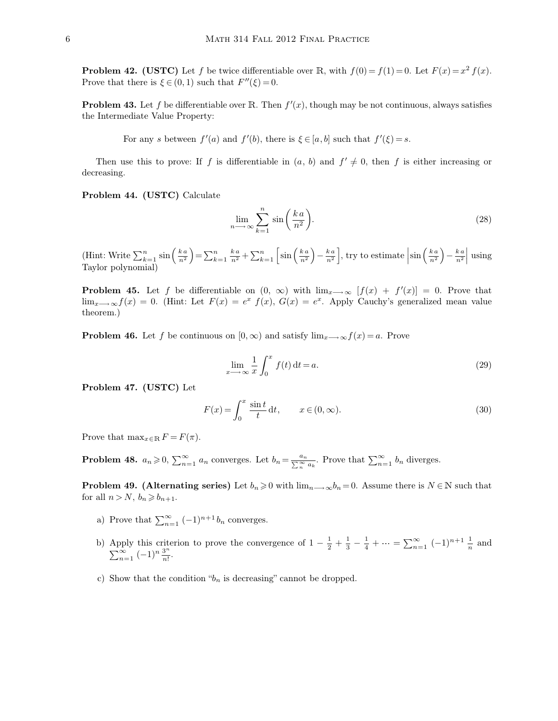**Problem 42. (USTC)** Let f be twice differentiable over R, with  $f(0) = f(1) = 0$ . Let  $F(x) = x^2 f(x)$ . Prove that there is  $\xi \in (0, 1)$  such that  $F''(\xi) = 0$ .

**Problem 43.** Let f be differentiable over R. Then  $f'(x)$ , though may be not continuous, always satisfies the Intermediate Value Property:

For any s between  $f'(a)$  and  $f'(b)$ , there is  $\xi \in [a, b]$  such that  $f'(\xi) = s$ .

Then use this to prove: If f is differentiable in  $(a, b)$  and  $f' \neq 0$ , then f is either increasing or decreasing.

**Problem 44. (USTC)** Calculate

$$
\lim_{n \to \infty} \sum_{k=1}^{n} \sin\left(\frac{ka}{n^2}\right).
$$
\n(28)

(Hint: Write  $\sum_{k=1}^n$  $\int_{k=1}^{n} \sin \left( \frac{k a}{n^2} \right)$  $\left(\frac{k\,a}{n^2}\right) = \sum_{k=1}^n$  $_{k=1}^{n}$   $_{n^{2}}^{k}$  +  $\sum_{k=1}^{n}$  $\int_{k=1}^{n} \sin \left( \frac{k a}{n^2} \right)$  $\left(\frac{ka}{n^2}\right)-\frac{ka}{n^2}$  $\left\lfloor \frac{k a}{n^2} \right\rfloor$ , try to estimate  $\left| \sin \left( \frac{k a}{n^2} \right) \right|$  $\left(\frac{ka}{n^2}\right)-\frac{ka}{n^2}$  $\frac{k a}{n^2}$  using Taylor polynomial)

**Problem 45.** Let f be differentiable on  $(0, \infty)$  with  $\lim_{x \to \infty} [f(x) + f'(x)] = 0$ . Prove that  $\lim_{x\to\infty}f(x)=0.$  (Hint: Let  $F(x)=e^x f(x), G(x)=e^x$ . Apply Cauchy's generalized mean value theorem.)

**Problem 46.** Let f be continuous on  $[0, \infty)$  and satisfy  $\lim_{x \to \infty} f(x) = a$ . Prove

$$
\lim_{x \to \infty} \frac{1}{x} \int_0^x f(t) dt = a.
$$
\n(29)

**Problem 47. (USTC)** Let

$$
F(x) = \int_0^x \frac{\sin t}{t} dt, \qquad x \in (0, \infty).
$$
 (30)

Prove that  $\max_{x \in \mathbb{R}} F = F(\pi)$ .

**Problem 48.**  $a_n \geq 0$ ,  $\sum_{n=1}^{\infty} a_n$  converges. Let  $b_n = \frac{a_n}{\sum_{n=1}^{\infty} a_n}$  $\frac{a_n}{a_n}$ . Prove that  $\sum_{n=1}^{\infty} b_n$  diverges.

**Problem 49. (Alternating series)** Let  $b_n \geq 0$  with  $\lim_{n \to \infty} b_n = 0$ . Assume there is  $N \in \mathbb{N}$  such that for all  $n > N$ ,  $b_n \geq b_{n+1}$ .

- a) Prove that  $\sum_{n=1}^{\infty} (-1)^{n+1} b_n$  converges.
- b) Apply this criterion to prove the convergence of  $1-\frac{1}{2}$  $\frac{1}{2} + \frac{1}{3}$  $rac{1}{3} - \frac{1}{4}$  $\frac{1}{4} + \cdots = \sum_{n=1}^{\infty} (-1)^{n+1} \frac{1}{n}$  and  $\sum_{n=1}^{\infty} (-1)^n \frac{3^n}{n!}$  $\frac{5}{n!}$ .
- c) Show that the condition " $b_n$  is decreasing" cannot be dropped.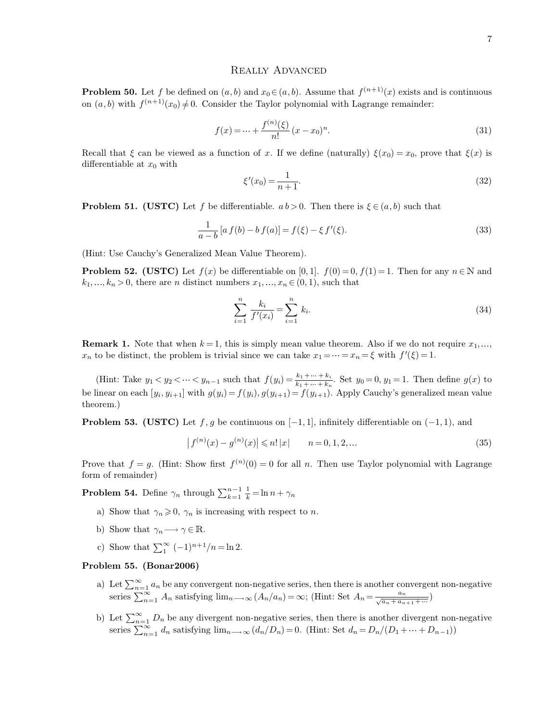# Really Advanced

**Problem 50.** Let f be defined on  $(a, b)$  and  $x_0 \in (a, b)$ . Assume that  $f^{(n+1)}(x)$  exists and is continuous on  $(a, b)$  with  $f^{(n+1)}(x_0) \neq 0$ . Consider the Taylor polynomial with Lagrange remainder:

$$
f(x) = \dots + \frac{f^{(n)}(\xi)}{n!} (x - x_0)^n.
$$
 (31)

Recall that  $\xi$  can be viewed as a function of x. If we define (naturally)  $\xi(x_0) = x_0$ , prove that  $\xi(x)$  is differentiable at  $x_0$  with

$$
\xi'(x_0) = \frac{1}{n+1}.\tag{32}
$$

**Problem 51. (USTC)** Let f be differentiable.  $ab > 0$ . Then there is  $\xi \in (a, b)$  such that

$$
\frac{1}{a-b} [a f(b) - b f(a)] = f(\xi) - \xi f'(\xi).
$$
\n(33)

(Hint: Use Cauchy's Generalized Mean Value Theorem).

**Problem 52. (USTC)** Let  $f(x)$  be differentiable on [0, 1].  $f(0) = 0$ ,  $f(1) = 1$ . Then for any  $n \in \mathbb{N}$  and  $k_1, \ldots, k_n > 0$ , there are *n* distinct numbers  $x_1, \ldots, x_n \in (0, 1)$ , such that

$$
\sum_{i=1}^{n} \frac{k_i}{f'(x_i)} = \sum_{i=1}^{n} k_i.
$$
\n(34)

**Remark 1.** Note that when  $k = 1$ , this is simply mean value theorem. Also if we do not require  $x_1, \ldots,$  $x_n$  to be distinct, the problem is trivial since we can take  $x_1 = \cdots = x_n = \xi$  with  $f'(\xi) = 1$ .

(Hint: Take  $y_1 < y_2 < \cdots < y_{n-1}$  such that  $f(y_i) = \frac{k_1 + \cdots + k_i}{k_1 + \cdots + k_n}$  $\frac{k_1 + \dots + k_i}{k_1 + \dots + k_n}$ . Set  $y_0 = 0, y_1 = 1$ . Then define  $g(x)$  to be linear on each  $[y_i, y_{i+1}]$  with  $g(y_i) = f(y_i), g(y_{i+1}) = f(y_{i+1})$ . Apply Cauchy's generalized mean value theorem.)

**Problem 53. (USTC)** Let f, g be continuous on  $[-1, 1]$ , infinitely differentiable on  $(-1, 1)$ , and

$$
\left| f^{(n)}(x) - g^{(n)}(x) \right| \le n! |x| \qquad n = 0, 1, 2, \dots \tag{35}
$$

Prove that  $f = g$ . (Hint: Show first  $f^{(n)}(0) = 0$  for all n. Then use Taylor polynomial with Lagrange form of remainder)

**Problem 54.** Define  $\gamma_n$  through  $\sum_{k=1}^{n-1} \frac{1}{k} = \ln n + \gamma_n$ 

- a) Show that  $\gamma_n \geqslant 0$ ,  $\gamma_n$  is increasing with respect to *n*.
- b) Show that  $\gamma_n \longrightarrow \gamma \in \mathbb{R}$ .
- c) Show that  $\sum_{1}^{\infty} (-1)^{n+1}/n = \ln 2$ .

## **Problem 55. (Bonar2006)**

- a) Let  $\sum_{n=1}^{\infty} a_n$  be any convergent non-negative series, then there is another convergent non-negative series  $\sum_{n=1}^{\infty} A_n$  satisfying  $\lim_{n \to \infty} (A_n/a_n) = \infty$ ; (Hint: Set  $A_n = \frac{a_n}{\sqrt{a_n + a_n}}$  $rac{a_n}{\sqrt{a_n + a_{n+1} + \dots}}$
- b) Let  $\sum_{n=1}^{\infty} D_n$  be any divergent non-negative series, then there is another divergent non-negative series  $\sum_{n=1}^{\infty} d_n$  satisfying  $\lim_{n\to\infty} (d_n/D_n) = 0$ . (Hint: Set  $d_n = D_n/(D_1 + \dots + D_{n-1})$ )